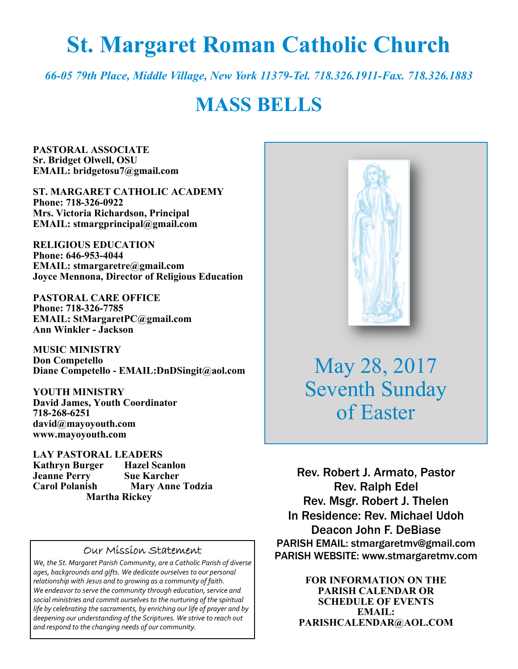# **St. Margaret Roman Catholic Church**

*66-05 79th Place, Middle Village, New York 11379-Tel. 718.326.1911-Fax. 718.326.1883* 

# **MASS BELLS**

**PASTORAL ASSOCIATE Sr. Bridget Olwell, OSU EMAIL: bridgetosu7@gmail.com** 

**ST. MARGARET CATHOLIC ACADEMY Phone: 718-326-0922 Mrs. Victoria Richardson, Principal EMAIL: stmargprincipal@gmail.com** 

**RELIGIOUS EDUCATION Phone: 646-953-4044 EMAIL: stmargaretre@gmail.com Joyce Mennona, Director of Religious Education** 

**PASTORAL CARE OFFICE Phone: 718-326-7785 EMAIL: StMargaretPC@gmail.com Ann Winkler - Jackson** 

**MUSIC MINISTRY Don Competello Diane Competello - EMAIL:DnDSingit@aol.com** 

**YOUTH MINISTRY David James, Youth Coordinator 718-268-6251 david@mayoyouth.com www.mayoyouth.com** 

**LAY PASTORAL LEADERS Kathryn Burger Hazel Scanlon Jeanne Perry Sue Karcher Carol Polanish Mary Anne Todzia Martha Rickey** 

#### Our Mission Statement

*We, the St. Margaret Parish Community, are a Catholic Parish of diverse ages, backgrounds and gifts. We dedicate ourselves to our personal relationship with Jesus and to growing as a community of faith. We endeavor to serve the community through education, service and social ministries and commit ourselves to the nurturing of the spiritual life by celebrating the sacraments, by enriching our life of prayer and by deepening our understanding of the Scriptures. We strive to reach out and respond to the changing needs of our community.*



May 28, 2017 Seventh Sunday of Easter

Rev. Robert J. Armato, Pastor Rev. Ralph Edel Rev. Msgr. Robert J. Thelen In Residence: Rev. Michael Udoh Deacon John F. DeBiase PARISH EMAIL: stmargaretmv@gmail.com PARISH WEBSITE: www.stmargaretmv.com

> **FOR INFORMATION ON THE PARISH CALENDAR OR SCHEDULE OF EVENTS EMAIL: PARISHCALENDAR@AOL.COM**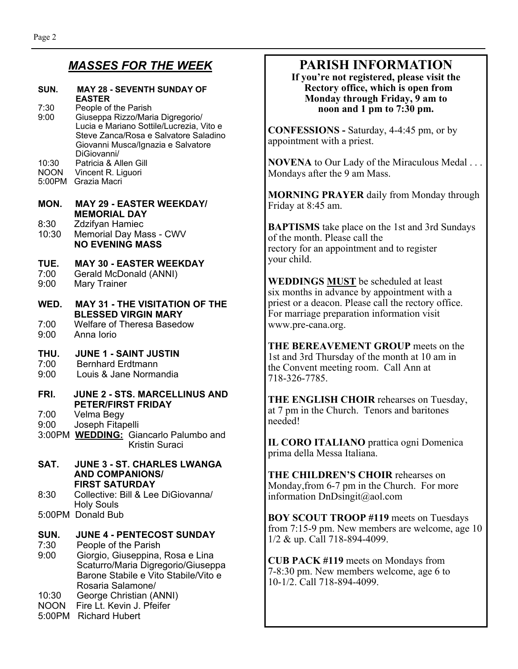### *MASSES FOR THE WEEK*

### **SUN. MAY 28 - SEVENTH SUNDAY OF EASTER**<br>7:30 People of

People of the Parish 9:00 Giuseppa Rizzo/Maria Digregorio/ Lucia e Mariano Sottile/Lucrezia, Vito e Steve Zanca/Rosa e Salvatore Saladino Giovanni Musca/Ignazia e Salvatore DiGiovanni/ Patricia & Allen Gill NOON Vincent R. Liguori

5:00PM Grazia Macri

#### **MON. MAY 29 - EASTER WEEKDAY/ MEMORIAL DAY**  8:30 Zdzifyan Hamiec

10:30 Memorial Day Mass - CWV **NO EVENING MASS** 

## **TUE. MAY 30 - EASTER WEEKDAY**

- 7:00 Gerald McDonald (ANNI)<br>9:00 Mary Trainer
- Mary Trainer

#### **WED. MAY 31 - THE VISITATION OF THE BLESSED VIRGIN MARY**

7:00 Welfare of Theresa Basedow 9:00 Anna Iorio

#### **THU. JUNE 1 - SAINT JUSTIN**

- 7:00 Bernhard Erdtmann
- 9:00 Louis & Jane Normandia

### **FRI. JUNE 2 - STS. MARCELLINUS AND PETER/FIRST FRIDAY**<br>7:00 Velma Begy

Velma Begy

- 9:00 Joseph Fitapelli
- 3:00PM **WEDDING:** Giancarlo Palumbo and Kristin Suraci

#### **SAT. JUNE 3 - ST. CHARLES LWANGA AND COMPANIONS/ FIRST SATURDAY**  8:30 Collective: Bill & Lee DiGiovanna/

- Holy Souls
- 5:00PM Donald Bub

#### **SUN. JUNE 4 - PENTECOST SUNDAY**

- 7:30 People of the Parish
- 9:00 Giorgio, Giuseppina, Rosa e Lina Scaturro/Maria Digregorio/Giuseppa Barone Stabile e Vito Stabile/Vito e Rosaria Salamone/
- George Christian (ANNI)
- NOON Fire Lt. Kevin J. Pfeifer
- 5:00PM Richard Hubert

### **PARISH INFORMATION**

**If you're not registered, please visit the Rectory office, which is open from Monday through Friday, 9 am to noon and 1 pm to 7:30 pm.** 

**CONFESSIONS -** Saturday, 4-4:45 pm, or by appointment with a priest.

**NOVENA** to Our Lady of the Miraculous Medal . . . Mondays after the 9 am Mass.

**MORNING PRAYER** daily from Monday through Friday at 8:45 am.

**BAPTISMS** take place on the 1st and 3rd Sundays of the month. Please call the rectory for an appointment and to register your child.

**WEDDINGS MUST** be scheduled at least six months in advance by appointment with a priest or a deacon. Please call the rectory office. For marriage preparation information visit www.pre-cana.org.

**THE BEREAVEMENT GROUP** meets on the 1st and 3rd Thursday of the month at 10 am in the Convent meeting room. Call Ann at 718-326-7785.

**THE ENGLISH CHOIR** rehearses on Tuesday, at 7 pm in the Church. Tenors and baritones needed!

**IL CORO ITALIANO** prattica ogni Domenica prima della Messa Italiana.

**THE CHILDREN'S CHOIR** rehearses on Monday,from 6-7 pm in the Church. For more information DnDsingit@aol.com

**BOY SCOUT TROOP #119** meets on Tuesdays from 7:15-9 pm. New members are welcome, age 10 1/2 & up. Call 718-894-4099.

**CUB PACK #119** meets on Mondays from 7-8:30 pm. New members welcome, age 6 to 10-1/2. Call 718-894-4099.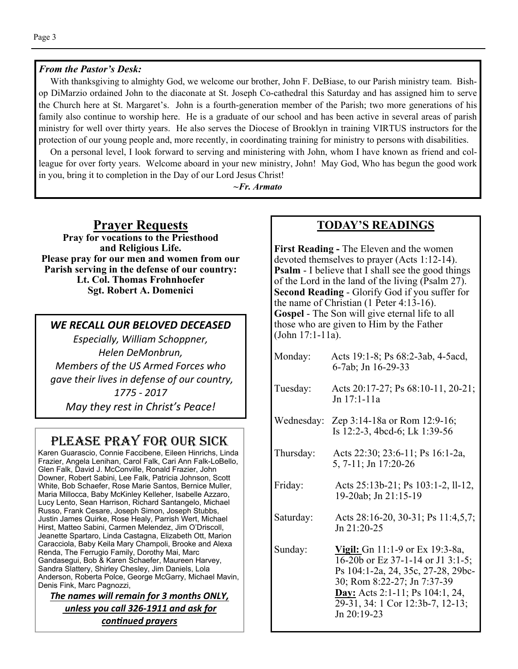#### *From the Pastor's Desk:*

 With thanksgiving to almighty God, we welcome our brother, John F. DeBiase, to our Parish ministry team. Bishop DiMarzio ordained John to the diaconate at St. Joseph Co-cathedral this Saturday and has assigned him to serve the Church here at St. Margaret's. John is a fourth-generation member of the Parish; two more generations of his family also continue to worship here. He is a graduate of our school and has been active in several areas of parish ministry for well over thirty years. He also serves the Diocese of Brooklyn in training VIRTUS instructors for the protection of our young people and, more recently, in coordinating training for ministry to persons with disabilities.

 On a personal level, I look forward to serving and ministering with John, whom I have known as friend and colleague for over forty years. Welcome aboard in your new ministry, John! May God, Who has begun the good work in you, bring it to completion in the Day of our Lord Jesus Christ!

*~Fr. Armato* 

### **Prayer Requests**

**Pray for vocations to the Priesthood and Religious Life. Please pray for our men and women from our Parish serving in the defense of our country: Lt. Col. Thomas Frohnhoefer Sgt. Robert A. Domenici** 

#### *WE RECALL OUR BELOVED DECEASED*

*Especially, William Schoppner, Helen DeMonbrun, Members of the US Armed Forces who gave their lives in defense of our country, 1775 - 2017* 

*May they rest in Christ's Peace!* 

### PLEASE PRAY FOR OUR SICK

Karen Guarascio, Connie Faccibene, Eileen Hinrichs, Linda Frazier, Angela Lenihan, Carol Falk, Cari Ann Falk-LoBello, Glen Falk, David J. McConville, Ronald Frazier, John Downer, Robert Sabini, Lee Falk, Patricia Johnson, Scott White, Bob Schaefer, Rose Marie Santos, Bernice Muller, Maria Millocca, Baby McKinley Kelleher, Isabelle Azzaro, Lucy Lento, Sean Harrison, Richard Santangelo, Michael Russo, Frank Cesare, Joseph Simon, Joseph Stubbs, Justin James Quirke, Rose Healy, Parrish Wert, Michael Hirst, Matteo Sabini, Carmen Melendez, Jim O'Driscoll, Jeanette Spartaro, Linda Castagna, Elizabeth Ott, Marion Caracciola, Baby Keila Mary Champoli, Brooke and Alexa Renda, The Ferrugio Family, Dorothy Mai, Marc Gandasegui, Bob & Karen Schaefer, Maureen Harvey, Sandra Slattery, Shirley Chesley, Jim Daniels, Lola Anderson, Roberta Polce, George McGarry, Michael Mavin, Denis Fink, Marc Pagnozzi,

*The names will remain for 3 months ONLY, unless you call 326-1911 and ask for conƟnued prayers*

#### **TODAY'S READINGS**

**First Reading -** The Eleven and the women devoted themselves to prayer (Acts 1:12-14). **Psalm** - I believe that I shall see the good things of the Lord in the land of the living (Psalm 27). **Second Reading** - Glorify God if you suffer for the name of Christian (1 Peter 4:13-16). **Gospel** - The Son will give eternal life to all those who are given to Him by the Father (John 17:1-11a).

| Monday:   | Acts 19:1-8; Ps 68:2-3ab, 4-5acd,<br>6-7ab; Jn 16-29-33                                                                                                                                                                         |  |
|-----------|---------------------------------------------------------------------------------------------------------------------------------------------------------------------------------------------------------------------------------|--|
| Tuesday:  | Acts 20:17-27; Ps 68:10-11, 20-21;<br>Jn 17:1-11a                                                                                                                                                                               |  |
|           | Wednesday: Zep $3:14-18a$ or Rom 12:9-16;<br>Is 12:2-3, 4bcd-6; Lk 1:39-56                                                                                                                                                      |  |
| Thursday: | Acts 22:30; 23:6-11; Ps 16:1-2a,<br>5, 7-11; Jn 17:20-26                                                                                                                                                                        |  |
| Friday:   | Acts 25:13b-21; Ps 103:1-2, ll-12,<br>19-20ab; Jn 21:15-19                                                                                                                                                                      |  |
| Saturday: | Acts 28:16-20, 30-31; Ps 11:4,5,7;<br>Jn 21:20-25                                                                                                                                                                               |  |
| Sunday:   | Vigil: Gn 11:1-9 or Ex 19:3-8a,<br>16-20b or Ez 37-1-14 or J1 3:1-5;<br>Ps 104:1-2a, 24, 35c, 27-28, 29bc-<br>30; Rom 8:22-27; Jn 7:37-39<br>Day: Acts 2:1-11; Ps 104:1, 24,<br>29-31, 34: 1 Cor 12:3b-7, 12-13;<br>Jn 20:19-23 |  |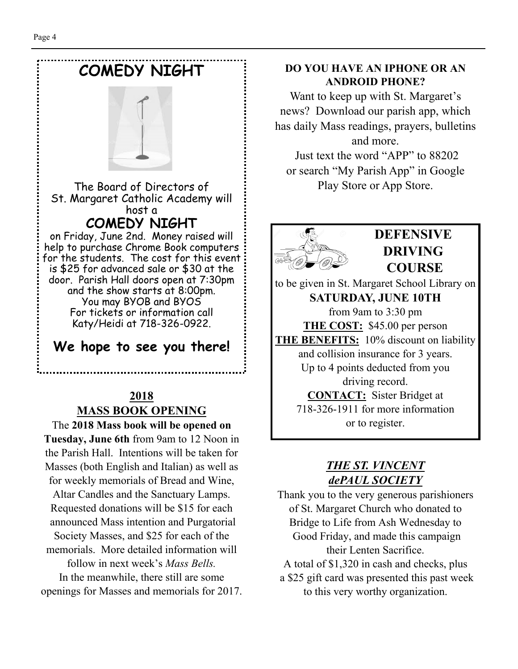

### **2018 MASS BOOK OPENING**

The **2018 Mass book will be opened on Tuesday, June 6th** from 9am to 12 Noon in the Parish Hall. Intentions will be taken for Masses (both English and Italian) as well as for weekly memorials of Bread and Wine, Altar Candles and the Sanctuary Lamps. Requested donations will be \$15 for each announced Mass intention and Purgatorial Society Masses, and \$25 for each of the memorials. More detailed information will follow in next week's *Mass Bells.*  In the meanwhile, there still are some openings for Masses and memorials for 2017.

#### **DO YOU HAVE AN IPHONE OR AN ANDROID PHONE?**

Want to keep up with St. Margaret's news? Download our parish app, which has daily Mass readings, prayers, bulletins and more.

 Just text the word "APP" to 88202 or search "My Parish App" in Google Play Store or App Store.



### **DEFENSIVE DRIVING COURSE**

to be given in St. Margaret School Library on **SATURDAY, JUNE 10TH**  from 9am to 3:30 pm **THE COST:** \$45.00 per person **THE BENEFITS:** 10% discount on liability and collision insurance for 3 years. Up to 4 points deducted from you driving record. **CONTACT:** Sister Bridget at 718-326-1911 for more information or to register.

### *THE ST. VINCENT dePAUL SOCIETY*

Thank you to the very generous parishioners of St. Margaret Church who donated to Bridge to Life from Ash Wednesday to Good Friday, and made this campaign their Lenten Sacrifice.

A total of \$1,320 in cash and checks, plus

 a \$25 gift card was presented this past week to this very worthy organization.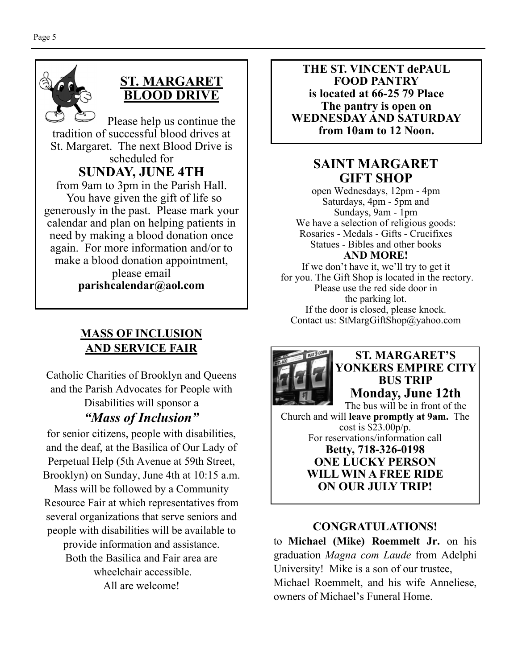

### **ST. MARGARET BLOOD DRIVE**

Please help us continue the tradition of successful blood drives at St. Margaret. The next Blood Drive is scheduled for **SUNDAY, JUNE 4TH** 

from 9am to 3pm in the Parish Hall. You have given the gift of life so generously in the past. Please mark your calendar and plan on helping patients in need by making a blood donation once again. For more information and/or to make a blood donation appointment, please email

**parishcalendar@aol.com** 

### **MASS OF INCLUSION AND SERVICE FAIR**

Catholic Charities of Brooklyn and Queens and the Parish Advocates for People with Disabilities will sponsor a *"Mass of Inclusion"* 

for senior citizens, people with disabilities, and the deaf, at the Basilica of Our Lady of Perpetual Help (5th Avenue at 59th Street, Brooklyn) on Sunday, June 4th at 10:15 a.m.

Mass will be followed by a Community Resource Fair at which representatives from several organizations that serve seniors and people with disabilities will be available to

provide information and assistance. Both the Basilica and Fair area are wheelchair accessible. All are welcome!

**THE ST. VINCENT dePAUL FOOD PANTRY is located at 66-25 79 Place The pantry is open on WEDNESDAY AND SATURDAY from 10am to 12 Noon.** 

### **SAINT MARGARET GIFT SHOP**

open Wednesdays, 12pm - 4pm Saturdays, 4pm - 5pm and Sundays, 9am - 1pm We have a selection of religious goods: Rosaries - Medals - Gifts - Crucifixes Statues - Bibles and other books **AND MORE!** 

If we don't have it, we'll try to get it for you. The Gift Shop is located in the rectory. Please use the red side door in the parking lot. If the door is closed, please knock. Contact us: StMargGiftShop@yahoo.com



### **ST. MARGARET'S YONKERS EMPIRE CITY BUS TRIP Monday, June 12th**

The bus will be in front of the Church and will **leave promptly at 9am.** The cost is \$23.00p/p. For reservations/information call **Betty, 718-326-0198 ONE LUCKY PERSON WILL WIN A FREE RIDE ON OUR JULY TRIP!** 

### **CONGRATULATIONS!**

to **Michael (Mike) Roemmelt Jr.** on his graduation *Magna com Laude* from Adelphi University! Mike is a son of our trustee, Michael Roemmelt, and his wife Anneliese, owners of Michael's Funeral Home.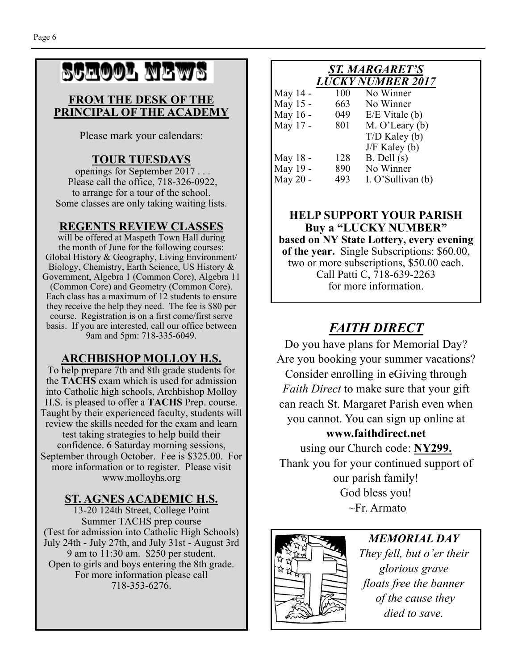# School News

#### **FROM THE DESK OF THE PRINCIPAL OF THE ACADEMY**

Please mark your calendars:

### **TOUR TUESDAYS**

openings for September 2017 . . . Please call the office, 718-326-0922, to arrange for a tour of the school. Some classes are only taking waiting lists.

### **REGENTS REVIEW CLASSES**

will be offered at Maspeth Town Hall during the month of June for the following courses: Global History & Geography, Living Environment/ Biology, Chemistry, Earth Science, US History & Government, Algebra 1 (Common Core), Algebra 11 (Common Core) and Geometry (Common Core). Each class has a maximum of 12 students to ensure they receive the help they need. The fee is \$80 per course. Registration is on a first come/first serve basis. If you are interested, call our office between 9am and 5pm: 718-335-6049.

### **ARCHBISHOP MOLLOY H.S.**

To help prepare 7th and 8th grade students for the **TACHS** exam which is used for admission into Catholic high schools, Archbishop Molloy H.S. is pleased to offer a **TACHS** Prep. course. Taught by their experienced faculty, students will review the skills needed for the exam and learn test taking strategies to help build their confidence. 6 Saturday morning sessions, September through October. Fee is \$325.00. For more information or to register. Please visit www.molloyhs.org

### **ST. AGNES ACADEMIC H.S.**

13-20 124th Street, College Point Summer TACHS prep course (Test for admission into Catholic High Schools) July 24th - July 27th, and July 31st - August 3rd 9 am to 11:30 am. \$250 per student. Open to girls and boys entering the 8th grade. For more information please call 718-353-6276.

#### *ST. MARGARET'S LUCKY NUMBER 2017*

| May 14 - | 100 | No Winner         |
|----------|-----|-------------------|
| May 15 - | 663 | No Winner         |
| May 16 - | 049 | $E/E$ Vitale (b)  |
| May 17 - | 801 | $M. O'$ Leary (b) |
|          |     | $T/D$ Kaley (b)   |
|          |     | $J/F$ Kaley (b)   |
| May 18 - | 128 | $B.$ Dell $(s)$   |
| May 19 - | 890 | No Winner         |
| May 20 - | 493 | I. O'Sullivan (b) |
|          |     |                   |

#### **HELP SUPPORT YOUR PARISH Buy a "LUCKY NUMBER" based on NY State Lottery, every evening of the year.** Single Subscriptions: \$60.00, two or more subscriptions, \$50.00 each. Call Patti C, 718-639-2263 for more information.

## *FAITH DIRECT*

Do you have plans for Memorial Day? Are you booking your summer vacations? Consider enrolling in eGiving through *Faith Direct* to make sure that your gift can reach St. Margaret Parish even when you cannot. You can sign up online at

### **www.faithdirect.net**

using our Church code: **NY299.**  Thank you for your continued support of our parish family! God bless you!  $\sim$ Fr. Armato



*MEMORIAL DAY They fell, but o'er their glorious grave floats free the banner of the cause they died to save.*